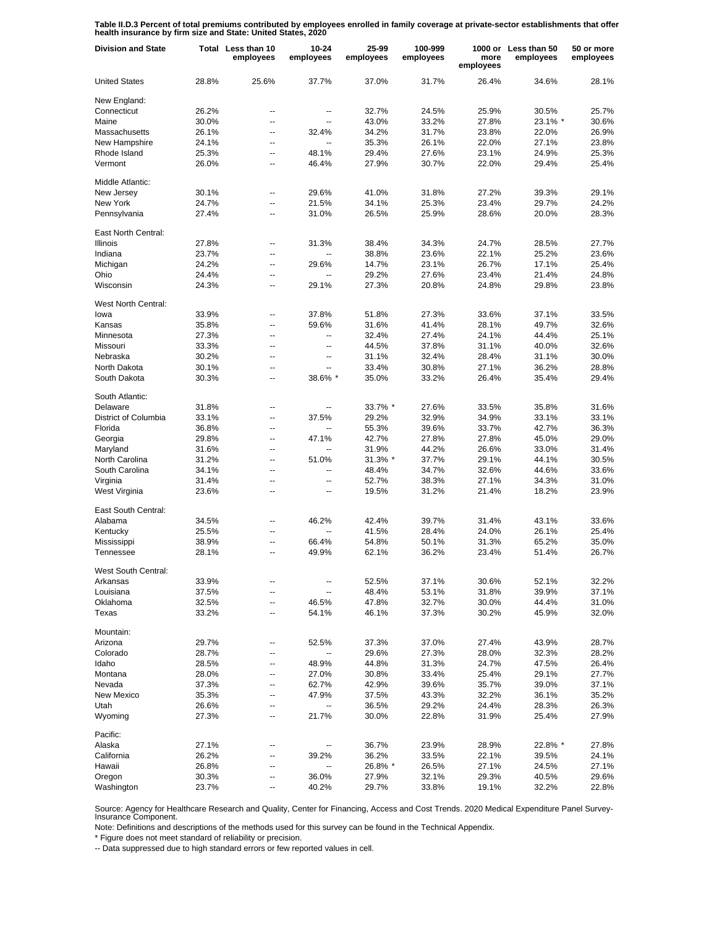**Table II.D.3 Percent of total premiums contributed by employees enrolled in family coverage at private-sector establishments that offer health insurance by firm size and State: United States, 2020**

| <b>Division and State</b>  |       | Total Less than 10<br>employees | 10-24<br>employees | 25-99<br>employees | 100-999<br>employees | more<br>employees | 1000 or Less than 50<br>employees | 50 or more<br>employees |
|----------------------------|-------|---------------------------------|--------------------|--------------------|----------------------|-------------------|-----------------------------------|-------------------------|
| <b>United States</b>       | 28.8% | 25.6%                           | 37.7%              | 37.0%              | 31.7%                | 26.4%             | 34.6%                             | 28.1%                   |
| New England:               |       |                                 |                    |                    |                      |                   |                                   |                         |
| Connecticut                | 26.2% | --                              | --                 | 32.7%              | 24.5%                | 25.9%             | 30.5%                             | 25.7%                   |
| Maine                      | 30.0% | ۵.                              | Ξ.                 | 43.0%              | 33.2%                | 27.8%             | 23.1% *                           | 30.6%                   |
| Massachusetts              | 26.1% | $\overline{a}$                  | 32.4%              | 34.2%              | 31.7%                | 23.8%             | 22.0%                             | 26.9%                   |
| New Hampshire              | 24.1% | $\overline{a}$                  | Щ,                 | 35.3%              | 26.1%                | 22.0%             | 27.1%                             | 23.8%                   |
| Rhode Island               | 25.3% | $\overline{\phantom{a}}$        | 48.1%              | 29.4%              | 27.6%                | 23.1%             | 24.9%                             | 25.3%                   |
| Vermont                    | 26.0% | $\overline{a}$                  | 46.4%              | 27.9%              | 30.7%                | 22.0%             | 29.4%                             | 25.4%                   |
| Middle Atlantic:           |       |                                 |                    |                    |                      |                   |                                   |                         |
| New Jersey                 | 30.1% | $\overline{a}$                  | 29.6%              | 41.0%              | 31.8%                | 27.2%             | 39.3%                             | 29.1%                   |
| New York                   | 24.7% | $\overline{\phantom{a}}$        | 21.5%              | 34.1%              | 25.3%                | 23.4%             | 29.7%                             | 24.2%                   |
| Pennsylvania               | 27.4% | Ξ.                              | 31.0%              | 26.5%              | 25.9%                | 28.6%             | 20.0%                             | 28.3%                   |
| East North Central:        |       |                                 |                    |                    |                      |                   |                                   |                         |
| <b>Illinois</b>            | 27.8% | $\overline{a}$                  | 31.3%              | 38.4%              | 34.3%                | 24.7%             | 28.5%                             | 27.7%                   |
| Indiana                    | 23.7% | Ξ.                              |                    | 38.8%              | 23.6%                | 22.1%             | 25.2%                             | 23.6%                   |
| Michigan                   | 24.2% | Ξ.                              | 29.6%              | 14.7%              | 23.1%                | 26.7%             | 17.1%                             | 25.4%                   |
| Ohio                       | 24.4% | $\overline{a}$                  |                    | 29.2%              | 27.6%                | 23.4%             | 21.4%                             | 24.8%                   |
| Wisconsin                  | 24.3% | $\overline{a}$                  | 29.1%              | 27.3%              | 20.8%                | 24.8%             | 29.8%                             | 23.8%                   |
|                            |       |                                 |                    |                    |                      |                   |                                   |                         |
| <b>West North Central:</b> |       |                                 |                    |                    |                      |                   |                                   |                         |
| lowa                       | 33.9% | --                              | 37.8%              | 51.8%              | 27.3%                | 33.6%             | 37.1%                             | 33.5%                   |
| Kansas                     | 35.8% | ۵.                              | 59.6%              | 31.6%              | 41.4%                | 28.1%             | 49.7%                             | 32.6%                   |
| Minnesota                  | 27.3% | --                              | --                 | 32.4%              | 27.4%                | 24.1%             | 44.4%                             | 25.1%                   |
| Missouri                   | 33.3% | ۵.                              | $\overline{a}$     | 44.5%              | 37.8%                | 31.1%             | 40.0%                             | 32.6%                   |
| Nebraska                   | 30.2% | $\overline{a}$                  | --                 | 31.1%              | 32.4%                | 28.4%             | 31.1%                             | 30.0%                   |
| North Dakota               | 30.1% | --                              | --                 | 33.4%              | 30.8%                | 27.1%             | 36.2%                             | 28.8%                   |
| South Dakota               | 30.3% | $\overline{a}$                  | 38.6% *            | 35.0%              | 33.2%                | 26.4%             | 35.4%                             | 29.4%                   |
| South Atlantic:            |       |                                 |                    |                    |                      |                   |                                   |                         |
| Delaware                   | 31.8% | $\overline{\phantom{a}}$        |                    | 33.7% *            | 27.6%                | 33.5%             | 35.8%                             | 31.6%                   |
| District of Columbia       | 33.1% | $\overline{\phantom{a}}$        | 37.5%              | 29.2%              | 32.9%                | 34.9%             | 33.1%                             | 33.1%                   |
| Florida                    | 36.8% | $\overline{\phantom{a}}$        |                    | 55.3%              | 39.6%                | 33.7%             | 42.7%                             | 36.3%                   |
| Georgia                    | 29.8% | $\overline{a}$                  | 47.1%              | 42.7%              | 27.8%                | 27.8%             | 45.0%                             | 29.0%                   |
| Maryland                   | 31.6% | $\overline{\phantom{a}}$        | Ξ.                 | 31.9%              | 44.2%                | 26.6%             | 33.0%                             | 31.4%                   |
| North Carolina             | 31.2% | $\overline{\phantom{a}}$        | 51.0%              | 31.3% *            | 37.7%                | 29.1%             | 44.1%                             | 30.5%                   |
| South Carolina             | 34.1% | $\overline{\phantom{a}}$        | $\overline{a}$     | 48.4%              | 34.7%                | 32.6%             | 44.6%                             | 33.6%                   |
| Virginia                   | 31.4% | $\overline{a}$                  | $\overline{a}$     | 52.7%              | 38.3%                | 27.1%             | 34.3%                             | 31.0%                   |
| West Virginia              | 23.6% | $\overline{\phantom{a}}$        | --                 | 19.5%              | 31.2%                | 21.4%             | 18.2%                             | 23.9%                   |
| East South Central:        |       |                                 |                    |                    |                      |                   |                                   |                         |
| Alabama                    | 34.5% | --                              | 46.2%              | 42.4%              | 39.7%                | 31.4%             | 43.1%                             | 33.6%                   |
| Kentucky                   | 25.5% | $\overline{\phantom{a}}$        | Щ,                 | 41.5%              | 28.4%                | 24.0%             | 26.1%                             | 25.4%                   |
| Mississippi                | 38.9% | $\overline{a}$                  | 66.4%              | 54.8%              | 50.1%                | 31.3%             | 65.2%                             | 35.0%                   |
| Tennessee                  | 28.1% | $\overline{a}$                  | 49.9%              | 62.1%              | 36.2%                | 23.4%             | 51.4%                             | 26.7%                   |
| West South Central:        |       |                                 |                    |                    |                      |                   |                                   |                         |
| Arkansas                   | 33.9% |                                 |                    | 52.5%              | 37.1%                | 30.6%             | 52.1%                             | 32.2%                   |
| Louisiana                  | 37.5% |                                 |                    | 48.4%              | 53.1%                | 31.8%             | 39.9%                             | 37.1%                   |
| Oklahoma                   | 32.5% | --                              | 46.5%              | 47.8%              | 32.7%                | 30.0%             | 44.4%                             | 31.0%                   |
| Texas                      | 33.2% | --                              | 54.1%              | 46.1%              | 37.3%                | 30.2%             | 45.9%                             | 32.0%                   |
|                            |       |                                 |                    |                    |                      |                   |                                   |                         |
| Mountain:                  |       |                                 |                    |                    |                      | 27.4%             |                                   |                         |
| Arizona                    | 29.7% | ۰.                              | 52.5%              | 37.3%              | 37.0%                |                   | 43.9%                             | 28.7%                   |
| Colorado                   | 28.7% | ۰.                              | --                 | 29.6%              | 27.3%                | 28.0%             | 32.3%                             | 28.2%                   |
| Idaho                      | 28.5% | --                              | 48.9%              | 44.8%              | 31.3%                | 24.7%             | 47.5%                             | 26.4%                   |
| Montana                    | 28.0% | ۰.                              | 27.0%              | 30.8%              | 33.4%                | 25.4%             | 29.1%                             | 27.7%                   |
| Nevada                     | 37.3% | --                              | 62.7%              | 42.9%              | 39.6%                | 35.7%             | 39.0%                             | 37.1%                   |
| New Mexico                 | 35.3% | ۰.                              | 47.9%              | 37.5%              | 43.3%                | 32.2%             | 36.1%                             | 35.2%                   |
| Utah                       | 26.6% | ۰.                              | --                 | 36.5%              | 29.2%                | 24.4%             | 28.3%                             | 26.3%                   |
| Wyoming                    | 27.3% | ۰.                              | 21.7%              | 30.0%              | 22.8%                | 31.9%             | 25.4%                             | 27.9%                   |
| Pacific:                   |       |                                 |                    |                    |                      |                   |                                   |                         |
| Alaska                     | 27.1% | --                              |                    | 36.7%              | 23.9%                | 28.9%             | 22.8% *                           | 27.8%                   |
| California                 | 26.2% | --                              | 39.2%              | 36.2%              | 33.5%                | 22.1%             | 39.5%                             | 24.1%                   |
| Hawaii                     | 26.8% | --                              | -−                 | 26.8% *            | 26.5%                | 27.1%             | 24.5%                             | 27.1%                   |
| Oregon                     | 30.3% | --                              | 36.0%              | 27.9%              | 32.1%                | 29.3%             | 40.5%                             | 29.6%                   |
| Washington                 | 23.7% | ۵.                              | 40.2%              | 29.7%              | 33.8%                | 19.1%             | 32.2%                             | 22.8%                   |

Source: Agency for Healthcare Research and Quality, Center for Financing, Access and Cost Trends. 2020 Medical Expenditure Panel Survey-Insurance Component.

Note: Definitions and descriptions of the methods used for this survey can be found in the Technical Appendix.

\* Figure does not meet standard of reliability or precision.

-- Data suppressed due to high standard errors or few reported values in cell.